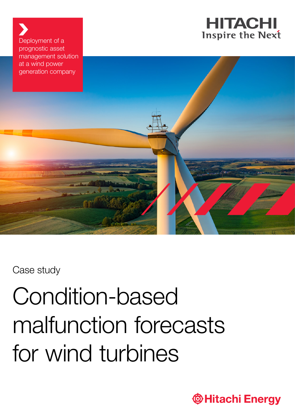

Deployment of a prognostic asset management solution at a wind power



Case study

# Condition-based malfunction forecasts for wind turbines

**THitachi Energy**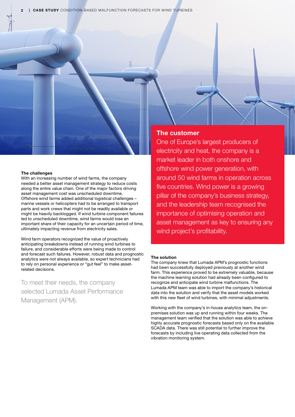**CASE STUDY** CONDITION-BASED MALFUNCTION FORECASTS FOR WIND TURBINES

### The challenges

With an increasing number of wind farms, the company needed a better asset management strategy to reduce costs along the entire value chain. One of the major factors driving asset management cost was unscheduled downtime. Offshore wind farms added additional logistical challenges – marine vessels or helicopters had to be arranged to transport parts and work crews that might not be readily available or might be heavily backlogged. If wind turbine component failures led to unscheduled downtime, wind farms would lose an important share of their capacity for an uncertain period of time, ultimately impacting revenue from electricity sales.

Wind farm operators recognized the value of proactively anticipating breakdowns instead of running wind turbines to failure, and considerable efforts were being made to control and forecast such failures. However, robust data and prognostic analytics were not always available, so expert technicians had to rely on personal experience or "gut feel" to make assetrelated decisions.

To meet their needs, the company selected Lumada Asset Performance Management (APM).

# The customer

One of Europe's largest producers of electricity and heat, the company is a market leader in both onshore and offshore wind power generation, with around 50 wind farms in operation across five countries. Wind power is a growing pillar of the company's business strategy, and the leadership team recognised the importance of optimising operation and asset management as key to ensuring any wind project's profitability.

## The solution

The company knew that Lumada APM's prognostic functions had been successfully deployed previously at another wind farm. This experience proved to be extremely valuable, because the machine learning solution had already been configured to recognize and anticipate wind turbine malfunctions. The Lumada APM team was able to import the company's historical data into the solution and verify that the asset models worked with this new fleet of wind turbines, with minimal adjustments.

Working with the company's in-house analytics team, the onpremises solution was up and running within four weeks. The management team verified that the solution was able to achieve highly accurate prognostic forecasts based only on the available SCADA data. There was still potential to further improve the forecasts by including live operating data collected from the vibration monitoring system.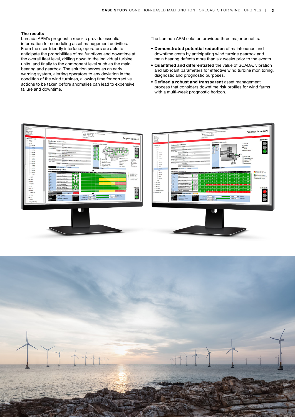# The results

Lumada APM's prognostic reports provide essential information for scheduling asset management activities. From the user-friendly interface, operators are able to anticipate the probabilities of malfunctions and downtime at the overall fleet level, drilling down to the individual turbine units, and finally to the component level such as the main bearing and gearbox. The solution serves as an early warning system, alerting operators to any deviation in the condition of the wind turbines, allowing time for corrective actions to be taken before anomalies can lead to expensive failure and downtime.

The Lumada APM solution provided three major benefits:

- Demonstrated potential reduction of maintenance and downtime costs by anticipating wind turbine gearbox and main bearing defects more than six weeks prior to the events.
- Quantified and differentiated the value of SCADA, vibration and lubricant parameters for effective wind turbine monitoring, diagnostic and prognostic purposes.
- Defined a robust and transparent asset management process that considers downtime risk profiles for wind farms with a multi-week prognostic horizon.